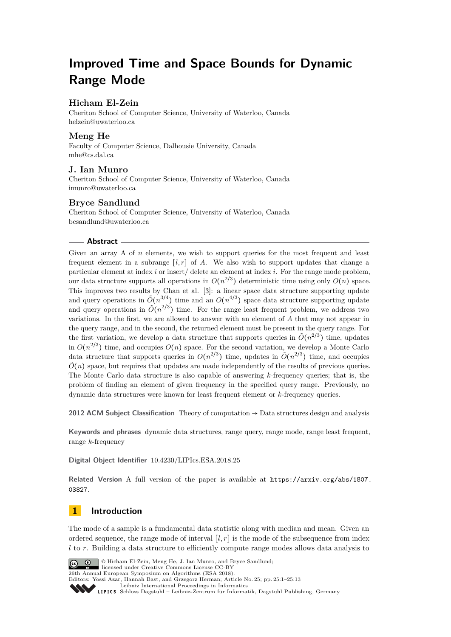# **Improved Time and Space Bounds for Dynamic Range Mode**

# **Hicham El-Zein**

Cheriton School of Computer Science, University of Waterloo, Canada [helzein@uwaterloo.ca](mailto:helzein@uwaterloo.ca)

# **Meng He**

Faculty of Computer Science, Dalhousie University, Canada [mhe@cs.dal.ca](mailto:mhe@cs.dal.ca)

# **J. Ian Munro**

Cheriton School of Computer Science, University of Waterloo, Canada [imunro@uwaterloo.ca](mailto:imunro@uwaterloo.ca)

## **Bryce Sandlund**

Cheriton School of Computer Science, University of Waterloo, Canada [bcsandlund@uwaterloo.ca](mailto:bcsandlund@uwaterloo.ca)

## **Abstract**

Given an array A of *n* elements, we wish to support queries for the most frequent and least frequent element in a subrange  $[l, r]$  of A. We also wish to support updates that change a particular element at index *i* or insert/ delete an element at index *i*. For the range mode problem, our data structure supports all operations in  $O(n^{2/3})$  deterministic time using only  $O(n)$  space. This improves two results by Chan et al. [\[3\]](#page-11-0): a linear space data structure supporting update and query operations in  $\tilde{O}(n^{3/4})$  time and an  $O(n^{4/3})$  space data structure supporting update and query operations in  $\tilde{O}(n^{2/3})$  time. For the range least frequent problem, we address two variations. In the first, we are allowed to answer with an element of *A* that may not appear in the query range, and in the second, the returned element must be present in the query range. For the first variation, we develop a data structure that supports queries in  $\tilde{O}(n^{2/3})$  time, updates in  $O(n^{2/3})$  time, and occupies  $O(n)$  space. For the second variation, we develop a Monte Carlo data structure that supports queries in  $O(n^{2/3})$  time, updates in  $O(n^{2/3})$  time, and occupies  $\tilde{O}(n)$  space, but requires that updates are made independently of the results of previous queries. The Monte Carlo data structure is also capable of answering *k*-frequency queries; that is, the problem of finding an element of given frequency in the specified query range. Previously, no dynamic data structures were known for least frequent element or *k*-frequency queries.

**2012 ACM Subject Classification** Theory of computation → Data structures design and analysis

**Keywords and phrases** dynamic data structures, range query, range mode, range least frequent, range *k*-frequency

**Digital Object Identifier** [10.4230/LIPIcs.ESA.2018.25](http://dx.doi.org/10.4230/LIPIcs.ESA.2018.25)

**Related Version** A full version of the paper is available at [https://arxiv.org/abs/1807.](https://arxiv.org/abs/1807.03827) [03827](https://arxiv.org/abs/1807.03827).

# **1 Introduction**

The mode of a sample is a fundamental data statistic along with median and mean. Given an ordered sequence, the range mode of interval  $[l, r]$  is the mode of the subsequence from index *l* to *r*. Building a data structure to efficiently compute range modes allows data analysis to



licensed under Creative Commons License CC-BY 26th Annual European Symposium on Algorithms (ESA 2018). Editors: Yossi Azar, Hannah Bast, and Grzegorz Herman; Article No. 25; pp. 25:1–25[:13](#page-12-0) [Leibniz International Proceedings in Informatics](http://www.dagstuhl.de/lipics/)

Leibniz International Froceedings in miormatics<br>
LIPICS [Schloss Dagstuhl – Leibniz-Zentrum für Informatik, Dagstuhl Publishing, Germany](http://www.dagstuhl.de)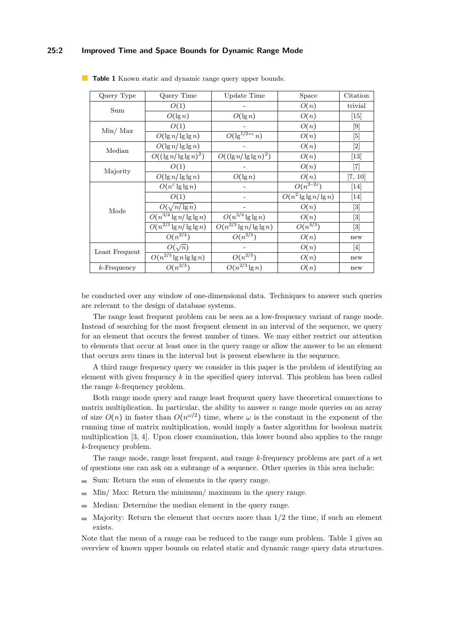#### **25:2 Improved Time and Space Bounds for Dynamic Range Mode**

| Query Type              | Query Time                                | Update Time<br>Space                  |                            |                              |  |
|-------------------------|-------------------------------------------|---------------------------------------|----------------------------|------------------------------|--|
| Sum                     | O(1)                                      |                                       | O(n)                       | trivial                      |  |
|                         | $O(\lg n)$                                | $O(\lg n)$                            | O(n)                       | $\left[15\right]$            |  |
| $\text{Min}/\text{Max}$ | O(1)                                      |                                       | O(n)                       | [9]                          |  |
|                         | $O(\lg n / \lg \lg n)$                    | $O(\lg^{1/2+\varepsilon} n)$          | O(n)                       | 5                            |  |
| Median                  | $O(\lg n / \lg \lg n)$                    |                                       | O(n)                       | $[2]$                        |  |
|                         | $O((\lg n/\lg\lg n)^2)$                   | $O((\lg n/\lg\lg n)^2)$               | O(n)                       | $\left\lvert 13\right\rvert$ |  |
| Majority                | O(1)                                      |                                       | O(n)                       | $\vert 7 \vert$              |  |
|                         | $O(\lg n / \lg \lg n)$                    | $O(\lg n)$                            | O(n)                       | [7, 10]                      |  |
| Mode                    | $O(n^{\epsilon}\lg\lg n)$                 |                                       | $O(n^{2-2\varepsilon})$    | $[14]$                       |  |
|                         | O(1)                                      |                                       | $O(n^2 \lg \lg n / \lg n)$ | [14]                         |  |
|                         | $O(\sqrt{n/\lg n})$                       |                                       | O(n)                       | $[3]$                        |  |
|                         | $\overline{O(n}^{3/4} \lg n / \lg \lg n)$ | $\overline{O(n^{3/4}\lg\lg n)}$       | O(n)                       | $[3]$                        |  |
|                         | $\overline{O(n^{2/3}\lg n/\lg\lg n)}$     | $\overline{O(n^{2/3}}\lg n/\lg\lg n)$ | $O(n^{4/3})$               | $\lceil 3 \rceil$            |  |
|                         | $O(n^{2/3})$                              | $O(n^{2/3})$                          | O(n)                       | new                          |  |
| Least Frequent          | $O(\sqrt{n})$                             |                                       | O(n)                       | [4]                          |  |
|                         | $\overline{O(n^{2/3}}\lg n\lg\lg n)$      | $O(n^{2/3})$<br>O(n)                  |                            | new                          |  |
| $k$ -Frequency          | $O(n^{2/3})$                              | $O(n^{2/3} \lg n)$                    | O(n)                       | new                          |  |

<span id="page-1-0"></span>**Table 1** Known static and dynamic range query upper bounds.

be conducted over any window of one-dimensional data. Techniques to answer such queries are relevant to the design of database systems.

The range least frequent problem can be seen as a low-frequency variant of range mode. Instead of searching for the most frequent element in an interval of the sequence, we query for an element that occurs the fewest number of times. We may either restrict our attention to elements that occur at least once in the query range or allow the answer to be an element that occurs zero times in the interval but is present elsewhere in the sequence.

A third range frequency query we consider in this paper is the problem of identifying an element with given frequency *k* in the specified query interval. This problem has been called the range *k*-frequency problem.

Both range mode query and range least frequent query have theoretical connections to matrix multiplication. In particular, the ability to answer *n* range mode queries on an array of size  $O(n)$  in faster than  $O(n^{\omega/2})$  time, where  $\omega$  is the constant in the exponent of the running time of matrix multiplication, would imply a faster algorithm for boolean matrix multiplication [\[3,](#page-11-0) [4\]](#page-12-8). Upon closer examination, this lower bound also applies to the range *k*-frequency problem.

The range mode, range least frequent, and range *k*-frequency problems are part of a set of questions one can ask on a subrange of a sequence. Other queries in this area include:

- Sum: Return the sum of elements in the query range.
- $\blacksquare$  Min/ Max: Return the minimum/ maximum in the query range.
- Median: Determine the median element in the query range.  $\sim$
- Majority: Return the element that occurs more than 1/2 the time, if such an element  $\blacksquare$ exists.

Note that the mean of a range can be reduced to the range sum problem. Table [1](#page-1-0) gives an overview of known upper bounds on related static and dynamic range query data structures.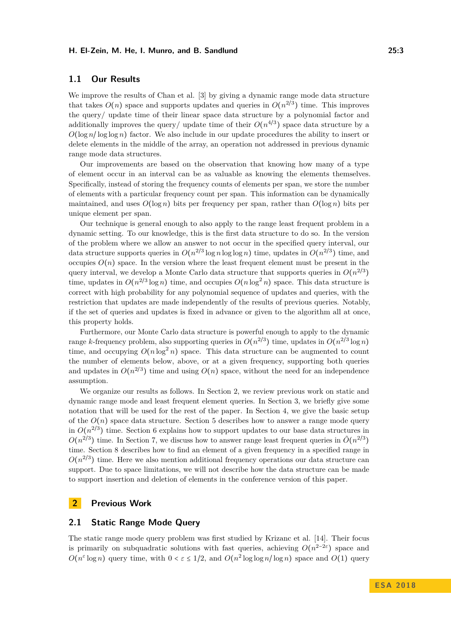## **1.1 Our Results**

We improve the results of Chan et al. [\[3\]](#page-11-0) by giving a dynamic range mode data structure that takes  $O(n)$  space and supports updates and queries in  $O(n^{2/3})$  time. This improves the query/ update time of their linear space data structure by a polynomial factor and additionally improves the query/ update time of their  $O(n^{4/3})$  space data structure by a  $O(\log n / \log \log n)$  factor. We also include in our update procedures the ability to insert or delete elements in the middle of the array, an operation not addressed in previous dynamic range mode data structures.

Our improvements are based on the observation that knowing how many of a type of element occur in an interval can be as valuable as knowing the elements themselves. Specifically, instead of storing the frequency counts of elements per span, we store the number of elements with a particular frequency count per span. This information can be dynamically maintained, and uses  $O(\log n)$  bits per frequency per span, rather than  $O(\log n)$  bits per unique element per span.

Our technique is general enough to also apply to the range least frequent problem in a dynamic setting. To our knowledge, this is the first data structure to do so. In the version of the problem where we allow an answer to not occur in the specified query interval, our data structure supports queries in  $O(n^{2/3} \log n \log \log n)$  time, updates in  $O(n^{2/3})$  time, and occupies  $O(n)$  space. In the version where the least frequent element must be present in the query interval, we develop a Monte Carlo data structure that supports queries in  $O(n^{2/3})$ time, updates in  $O(n^{2/3} \log n)$  time, and occupies  $O(n \log^2 n)$  space. This data structure is correct with high probability for any polynomial sequence of updates and queries, with the restriction that updates are made independently of the results of previous queries. Notably, if the set of queries and updates is fixed in advance or given to the algorithm all at once, this property holds.

Furthermore, our Monte Carlo data structure is powerful enough to apply to the dynamic range *k*-frequency problem, also supporting queries in  $O(n^{2/3})$  time, updates in  $O(n^{2/3} \log n)$ time, and occupying  $O(n \log^2 n)$  space. This data structure can be augmented to count the number of elements below, above, or at a given frequency, supporting both queries and updates in  $O(n^{2/3})$  time and using  $O(n)$  space, without the need for an independence assumption.

We organize our results as follows. In Section [2,](#page-2-0) we review previous work on static and dynamic range mode and least frequent element queries. In Section [3,](#page-4-0) we briefly give some notation that will be used for the rest of the paper. In Section [4,](#page-4-1) we give the basic setup of the  $O(n)$  space data structure. Section [5](#page-6-0) describes how to answer a range mode query in  $O(n^{2/3})$  time. Section [6](#page-7-0) explains how to support updates to our base data structures in  $O(n^{2/3})$  time. In Section [7,](#page-8-0) we discuss how to answer range least frequent queries in  $\tilde{O}(n^{2/3})$ time. Section [8](#page-10-0) describes how to find an element of a given frequency in a specified range in  $O(n^{2/3})$  time. Here we also mention additional frequency operations our data structure can support. Due to space limitations, we will not describe how the data structure can be made to support insertion and deletion of elements in the conference version of this paper.

## <span id="page-2-0"></span>**2 Previous Work**

## **2.1 Static Range Mode Query**

The static range mode query problem was first studied by Krizanc et al. [\[14\]](#page-12-7). Their focus is primarily on subquadratic solutions with fast queries, achieving  $O(n^{2-2\varepsilon})$  space and  $O(n^{\varepsilon} \log n)$  query time, with  $0 < \varepsilon \leq 1/2$ , and  $O(n^2 \log \log n / \log n)$  space and  $O(1)$  query

**E S A 2 0 1 8**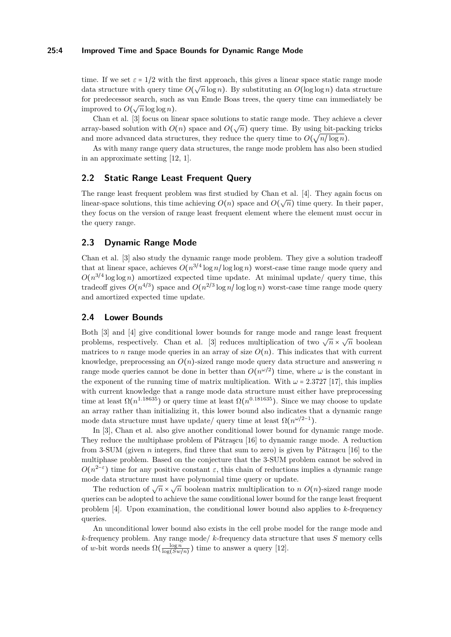#### **25:4 Improved Time and Space Bounds for Dynamic Range Mode**

time. If we set  $\varepsilon = 1/2$  with the first approach, this gives a linear space static range mode data structure with query time  $O(\sqrt{n}\log n)$ . By substituting an  $O(\log \log n)$  data structure for predecessor search, such as van Emde Boas trees, the query time can immediately be improved to  $O(\sqrt{n}\log\log n)$ .

Chan et al. [\[3\]](#page-11-0) focus on linear space solutions to static range mode. They achieve a clever chan ce al. [o] locals on linear space solutions to static range mode. They achieve a circle<br>array-based solution with  $O(n)$  space and  $O(\sqrt{n})$  query time. By using bit-packing tricks and more advanced data structures, they reduce the query time to  $O(\sqrt{n/\log n})$ .

As with many range query data structures, the range mode problem has also been studied in an approximate setting [\[12,](#page-12-9) [1\]](#page-11-2).

## **2.2 Static Range Least Frequent Query**

The range least frequent problem was first studied by Chan et al. [\[4\]](#page-12-8). They again focus on linear-space solutions, this time achieving  $O(n)$  space and  $O(\sqrt{n})$  time query. In their paper, they focus on the version of range least frequent element where the element must occur in the query range.

## **2.3 Dynamic Range Mode**

Chan et al. [\[3\]](#page-11-0) also study the dynamic range mode problem. They give a solution tradeoff that at linear space, achieves  $O(n^{3/4} \log n / \log \log n)$  worst-case time range mode query and  $O(n^{3/4} \log \log n)$  amortized expected time update. At minimal update/ query time, this tradeoff gives  $O(n^{4/3})$  space and  $O(n^{2/3} \log n / \log \log n)$  worst-case time range mode query and amortized expected time update.

#### **2.4 Lower Bounds**

Both [\[3\]](#page-11-0) and [\[4\]](#page-12-8) give conditional lower bounds for range mode and range least frequent problems, respectively. Chan et al. [\[3\]](#page-11-0) reduces multiplication of two  $\sqrt{n} \times \sqrt{n}$  boolean matrices to *n* range mode queries in an array of size  $O(n)$ . This indicates that with current knowledge, preprocessing an *O*(*n*)-sized range mode query data structure and answering *n* range mode queries cannot be done in better than  $O(n^{\omega/2})$  time, where  $\omega$  is the constant in the exponent of the running time of matrix multiplication. With  $\omega = 2.3727$  [\[17\]](#page-12-10), this implies with current knowledge that a range mode data structure must either have preprocessing time at least  $\Omega(n^{1.18635})$  or query time at least  $\Omega(n^{0.181635})$ . Since we may choose to update an array rather than initializing it, this lower bound also indicates that a dynamic range mode data structure must have update/ query time at least  $\Omega(n^{\omega/2-1})$ .

In [\[3\]](#page-11-0), Chan et al. also give another conditional lower bound for dynamic range mode. They reduce the multiphase problem of Pǎtraşcu  $[16]$  to dynamic range mode. A reduction from 3-SUM (given *n* integers, find three that sum to zero) is given by Pǎtraşcu [\[16\]](#page-12-11) to the multiphase problem. Based on the conjecture that the 3-SUM problem cannot be solved in  $O(n^{2-\epsilon})$  time for any positive constant  $\varepsilon$ , this chain of reductions implies a dynamic range mode data structure must have polynomial time query or update.

The reduction of  $\sqrt{n} \times \sqrt{n}$  boolean matrix multiplication to *n*  $O(n)$ -sized range mode queries can be adopted to achieve the same conditional lower bound for the range least frequent problem [\[4\]](#page-12-8). Upon examination, the conditional lower bound also applies to *k*-frequency queries.

An unconditional lower bound also exists in the cell probe model for the range mode and *k*-frequency problem. Any range mode/ *k*-frequency data structure that uses *S* memory cells of *w*-bit words needs  $\Omega\left(\frac{\log n}{\log(Sw)}\right)$  $\frac{\log n}{\log(Sw/n)}$ ) time to answer a query [\[12\]](#page-12-9).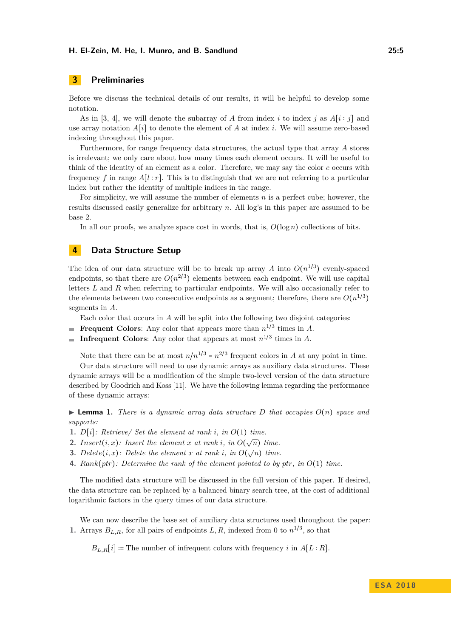#### **H. El-Zein, M. He, I. Munro, and B. Sandlund 25:5**

# <span id="page-4-0"></span>**3 Preliminaries**

Before we discuss the technical details of our results, it will be helpful to develop some notation.

As in [\[3,](#page-11-0) [4\]](#page-12-8), we will denote the subarray of *A* from index *i* to index *j* as  $A[i:j]$  and use array notation  $A[i]$  to denote the element of  $A$  at index  $i$ . We will assume zero-based indexing throughout this paper.

Furthermore, for range frequency data structures, the actual type that array *A* stores is irrelevant; we only care about how many times each element occurs. It will be useful to think of the identity of an element as a color. Therefore, we may say the color *c* occurs with frequency f in range  $A[l : r]$ . This is to distinguish that we are not referring to a particular index but rather the identity of multiple indices in the range.

For simplicity, we will assume the number of elements *n* is a perfect cube; however, the results discussed easily generalize for arbitrary *n*. All log's in this paper are assumed to be base 2.

In all our proofs, we analyze space cost in words, that is,  $O(\log n)$  collections of bits.

## <span id="page-4-1"></span>**4 Data Structure Setup**

The idea of our data structure will be to break up array *A* into  $O(n^{1/3})$  evenly-spaced endpoints, so that there are  $O(n^{2/3})$  elements between each endpoint. We will use capital letters *L* and *R* when referring to particular endpoints. We will also occasionally refer to the elements between two consecutive endpoints as a segment; therefore, there are  $O(n^{1/3})$ segments in *A*.

Each color that occurs in *A* will be split into the following two disjoint categories:

- **Frequent Colors**: Any color that appears more than  $n^{1/3}$  times in A.
- **Infrequent Colors**: Any color that appears at most  $n^{1/3}$  times in A.

Note that there can be at most  $n/n^{1/3} = n^{2/3}$  frequent colors in *A* at any point in time.

Our data structure will need to use dynamic arrays as auxiliary data structures. These dynamic arrays will be a modification of the simple two-level version of the data structure described by Goodrich and Koss [\[11\]](#page-12-12). We have the following lemma regarding the performance of these dynamic arrays:

<span id="page-4-2"></span> $\triangleright$  **Lemma 1.** *There is a dynamic array data structure D that occupies*  $O(n)$  *space and supports:*

- **1.**  $D[i]$ : Retrieve/ Set the element at rank *i*, in  $O(1)$  time.
- **2.** *Insert*(*i, x*)*: Insert the element x at rank i*, *in*  $O(\sqrt{n})$  *time.*
- **3.** *Delete*(*i, x*)*: Delete* the element *x* at rank *i*, in  $O(\sqrt{n})$  time.
- **4.** *Rank*(*ptr*)*: Determine the rank of the element pointed to by ptr, in O*(1) *time.*

The modified data structure will be discussed in the full version of this paper. If desired, the data structure can be replaced by a balanced binary search tree, at the cost of additional logarithmic factors in the query times of our data structure.

We can now describe the base set of auxiliary data structures used throughout the paper: **1.** Arrays  $B_{L,R}$ , for all pairs of endpoints  $L, R$ , indexed from 0 to  $n^{1/3}$ , so that

 $B_{L,R}[i]$  := The number of infrequent colors with frequency *i* in  $A[L:R]$ .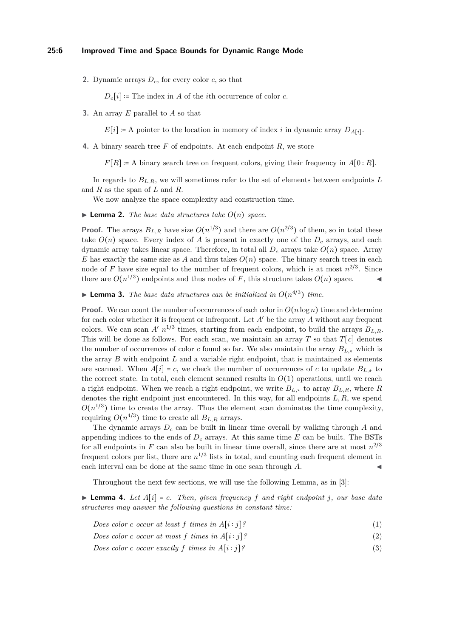**2.** Dynamic arrays  $D_c$ , for every color  $c$ , so that

 $D_c[i]$  := The index in *A* of the *i*th occurrence of color *c*.

**3.** An array *E* parallel to *A* so that

 $E[i] \coloneqq A$  pointer to the location in memory of index *i* in dynamic array  $D_{A[i]}$ .

**4.** A binary search tree *F* of endpoints. At each endpoint *R*, we store

 $F[R] := A$  binary search tree on frequent colors, giving their frequency in  $A[0:R]$ .

In regards to  $B_{L,R}$ , we will sometimes refer to the set of elements between endpoints L and *R* as the span of *L* and *R*.

We now analyze the space complexity and construction time.

 $\blacktriangleright$  **Lemma 2.** *The base data structures take*  $O(n)$  *space.* 

**Proof.** The arrays  $B_{L,R}$  have size  $O(n^{1/3})$  and there are  $O(n^{2/3})$  of them, so in total these take  $O(n)$  space. Every index of A is present in exactly one of the  $D<sub>c</sub>$  arrays, and each dynamic array takes linear space. Therefore, in total all  $D_c$  arrays take  $O(n)$  space. Array *E* has exactly the same size as *A* and thus takes  $O(n)$  space. The binary search trees in each node of *F* have size equal to the number of frequent colors, which is at most  $n^{2/3}$ . Since there are  $O(n^{1/3})$  endpoints and thus nodes of *F*, this structure takes  $O(n)$  space.

**Example 12.** The base data structures can be initialized in  $O(n^{4/3})$  time.

**Proof.** We can count the number of occurrences of each color in  $O(n \log n)$  time and determine for each color whether it is frequent or infrequent. Let *A* ′ be the array *A* without any frequent colors. We can scan  $A'$   $n^{1/3}$  times, starting from each endpoint, to build the arrays  $B_{L,R}$ . This will be done as follows. For each scan, we maintain an array  $T$  so that  $T[c]$  denotes the number of occurrences of color *c* found so far. We also maintain the array *BL,*<sup>∗</sup> which is the array *B* with endpoint *L* and a variable right endpoint, that is maintained as elements are scanned. When  $A[i] = c$ , we check the number of occurrences of *c* to update  $B_{L,*}$  to the correct state. In total, each element scanned results in  $O(1)$  operations, until we reach a right endpoint. When we reach a right endpoint, we write  $B_{L,*}$  to array  $B_{L,R}$ , where  $R$ denotes the right endpoint just encountered. In this way, for all endpoints *L, R*, we spend  $O(n^{1/3})$  time to create the array. Thus the element scan dominates the time complexity, requiring  $O(n^{4/3})$  time to create all  $B_{L,R}$  arrays.

The dynamic arrays *D<sup>c</sup>* can be built in linear time overall by walking through *A* and appending indices to the ends of  $D<sub>c</sub>$  arrays. At this same time  $E$  can be built. The BSTs for all endpoints in  $F$  can also be built in linear time overall, since there are at most  $n^{2/3}$ frequent colors per list, there are  $n^{1/3}$  lists in total, and counting each frequent element in each interval can be done at the same time in one scan through A.

Throughout the next few sections, we will use the following Lemma, as in [\[3\]](#page-11-0):

<span id="page-5-2"></span> $\blacktriangleright$  **Lemma 4.** Let  $A[i] = c$ . Then, given frequency f and right endpoint *j*, our base data *structures may answer the following questions in constant time:*

<span id="page-5-0"></span>*Does color c occur at least f times in*  $A[i:j]$ ? (1)

<span id="page-5-1"></span>*Does color c occur at most*  $f$  *times in*  $A[i:j]$ ? (2)

*Does color c occur exactly f times in*  $A[i:j]$ ? (3)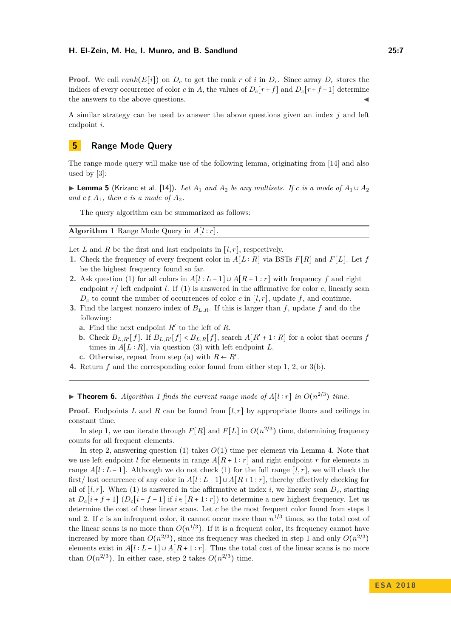**Proof.** We call  $rank(E[i])$  on  $D_c$  to get the rank r of i in  $D_c$ . Since array  $D_c$  stores the indices of every occurrence of color *c* in *A*, the values of  $D_c[r+f]$  and  $D_c[r+f-1]$  determine the answers to the above questions.

A similar strategy can be used to answer the above questions given an index *j* and left endpoint *i*.

# <span id="page-6-0"></span>**5 Range Mode Query**

The range mode query will make use of the following lemma, originating from [\[14\]](#page-12-7) and also used by [\[3\]](#page-11-0):

<span id="page-6-2"></span>**► Lemma 5** (Krizanc et al. [\[14\]](#page-12-7)). Let  $A_1$  and  $A_2$  be any multisets. If c is a mode of  $A_1 \cup A_2$ *and*  $c \notin A_1$ *, then c is a mode of*  $A_2$ *.* 

The query algorithm can be summarized as follows:

<span id="page-6-1"></span>**Algorithm 1** Range Mode Query in *A*[*l* ∶ *r*].

Let *L* and *R* be the first and last endpoints in  $[l, r]$ , respectively.

- **1.** Check the frequency of every frequent color in  $A[L:R]$  via BSTs  $F[R]$  and  $F[L]$ . Let  $f$ be the highest frequency found so far.
- **2.** Ask question [\(1\)](#page-5-0) for all colors in  $A[l : L-1] \cup A[R+1 : r]$  with frequency f and right endpoint  $r/$  left endpoint *l*. If [\(1\)](#page-5-0) is answered in the affirmative for color *c*, linearly scan  $D_c$  to count the number of occurrences of color *c* in [*l, r*], update *f*, and continue.
- **3.** Find the largest nonzero index of *BL,R*. If this is larger than *f*, update *f* and do the following:
	- **a.** Find the next endpoint  $R'$  to the left of  $R$ .
	- **b.** Check  $B_{L,R'}[f]$ . If  $B_{L,R'}[f] < B_{L,R}[f]$ , search  $A[R'+1:R]$  for a color that occurs  $f$ times in  $A[L:R]$ , via question [\(3\)](#page-5-1) with left endpoint *L*.
	- **c.** Otherwise, repeat from step (a) with  $R \leftarrow R'$ .
- **4.** Return *f* and the corresponding color found from either step 1, 2, or 3(b).

▶ **Theorem 6.** *Algorithm [1](#page-6-1) finds the current range mode of*  $A[l:r]$  *in*  $O(n^{2/3})$  *time.* 

**Proof.** Endpoints *L* and *R* can be found from  $[l, r]$  by appropriate floors and ceilings in constant time.

In step 1, we can iterate through  $F[R]$  and  $F[L]$  in  $O(n^{2/3})$  time, determining frequency counts for all frequent elements.

In step 2, answering question [\(1\)](#page-5-0) takes *O*(1) time per element via Lemma [4.](#page-5-2) Note that we use left endpoint *l* for elements in range  $A[R+1:r]$  and right endpoint *r* for elements in range  $A[l : L-1]$ . Although we do not check [\(1\)](#page-5-0) for the full range  $[l, r]$ , we will check the first/ last occurrence of any color in  $A[l : L-1] \cup A[R+1 : r]$ , thereby effectively checking for all of  $[l, r]$ . When [\(1\)](#page-5-0) is answered in the affirmative at index *i*, we linearly scan  $D_c$ , starting at  $D_c[i+f+1]$   $(D_c[i-f-1]$  if  $i \in [R+1:r])$  to determine a new highest frequency. Let us determine the cost of these linear scans. Let *c* be the most frequent color found from steps 1 and 2. If *c* is an infrequent color, it cannot occur more than  $n^{1/3}$  times, so the total cost of the linear scans is no more than  $O(n^{1/3})$ . If it is a frequent color, its frequency cannot have increased by more than  $O(n^{2/3})$ , since its frequency was checked in step 1 and only  $O(n^{2/3})$ elements exist in  $A[l : L-1] \cup A[R+1 : r]$ . Thus the total cost of the linear scans is no more than  $O(n^{2/3})$ . In either case, step 2 takes  $O(n^{2/3})$  time.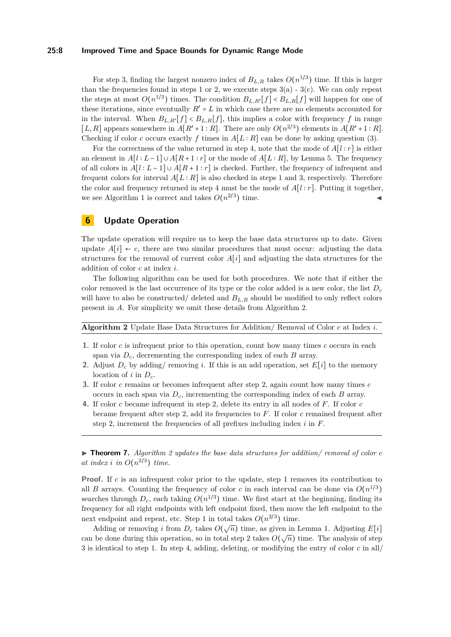#### **25:8 Improved Time and Space Bounds for Dynamic Range Mode**

For step 3, finding the largest nonzero index of  $B_{L,R}$  takes  $O(n^{1/3})$  time. If this is larger than the frequencies found in steps 1 or 2, we execute steps  $3(a)$  -  $3(c)$ . We can only repeat the steps at most  $O(n^{1/3})$  times. The condition  $B_{L,R'}[f] < B_{L,R}[f]$  will happen for one of these iterations, since eventually  $R' = L$  in which case there are no elements accounted for in the interval. When  $B_{L,R'}[f] < B_{L,R}[f]$ , this implies a color with frequency f in range [*L, R*] appears somewhere in  $A[R'+1:R]$ . There are only  $O(n^{2/3})$  elements in  $A[R'+1:R]$ . Checking if color *c* occurs exactly *f* times in  $A[L:R]$  can be done by asking question [\(3\)](#page-5-1).

For the correctness of the value returned in step 4, note that the mode of *A*[*l* ∶ *r*] is either an element in  $A[l : L-1] \cup A[R+1 : r]$  or the mode of  $A[L : R]$ , by Lemma [5.](#page-6-2) The frequency of all colors in  $A[l : L-1] \cup A[R+1 : r]$  is checked. Further, the frequency of infrequent and frequent colors for interval  $A[L:R]$  is also checked in steps 1 and 3, respectively. Therefore the color and frequency returned in step 4 must be the mode of  $A[l : r]$ . Putting it together, we see Algorithm [1](#page-6-1) is correct and takes  $O(n^{2/3})$  time.

# <span id="page-7-0"></span>**6 Update Operation**

The update operation will require us to keep the base data structures up to date. Given update  $A[i] \leftarrow c$ , there are two similar procedures that must occur: adjusting the data structures for the removal of current color *A*[*i*] and adjusting the data structures for the addition of color *c* at index *i*.

The following algorithm can be used for both procedures. We note that if either the color removed is the last occurrence of its type or the color added is a new color, the list *D<sup>c</sup>* will have to also be constructed/ deleted and  $B_{L,R}$  should be modified to only reflect colors present in *A*. For simplicity we omit these details from Algorithm [2.](#page-7-1)

<span id="page-7-1"></span>

| <b>Algorithm 2</b> Update Base Data Structures for Addition/ Removal of Color $c$ at Index $i$ . |  |  |  |  |  |  |
|--------------------------------------------------------------------------------------------------|--|--|--|--|--|--|
|                                                                                                  |  |  |  |  |  |  |

- **1.** If color *c* is infrequent prior to this operation, count how many times *c* occurs in each span via *Dc*, decrementing the corresponding index of each *B* array.
- **2.** Adjust  $D_c$  by adding/ removing *i*. If this is an add operation, set  $E[i]$  to the memory location of *i* in  $D_c$ .
- **3.** If color *c* remains or becomes infrequent after step 2, again count how many times *c* occurs in each span via *Dc*, incrementing the corresponding index of each *B* array.
- **4.** If color *c* became infrequent in step 2, delete its entry in all nodes of *F*. If color *c* became frequent after step 2, add its frequencies to *F*. If color *c* remained frequent after step 2, increment the frequencies of all prefixes including index *i* in *F*.

▶ **Theorem 7.** *Algorithm [2](#page-7-1) updates the base data structures for addition/ removal of color c at index i in*  $O(n^{2/3})$  *time.* 

**Proof.** If *c* is an infrequent color prior to the update, step 1 removes its contribution to all *B* arrays. Counting the frequency of color *c* in each interval can be done via  $O(n^{1/3})$ searches through  $D_c$ , each taking  $O(n^{1/3})$  time. We first start at the beginning, finding its frequency for all right endpoints with left endpoint fixed, then move the left endpoint to the next endpoint and repeat, etc. Step 1 in total takes  $O(n^{2/3})$  time.

Adding or removing *i* from  $D_c$  takes  $O(\sqrt{n})$  time, as given in Lemma [1.](#page-4-2) Adjusting  $E[i]$ can be done during this operation, so in total step 2 takes  $O(\sqrt{n})$  time. The analysis of step can be done during this operation, so in total step 2 takes  $O(\sqrt{n})$  time. The analysis of step 3 is identical to step 1. In step 4, adding, deleting, or modifying the entry of color *c* in all/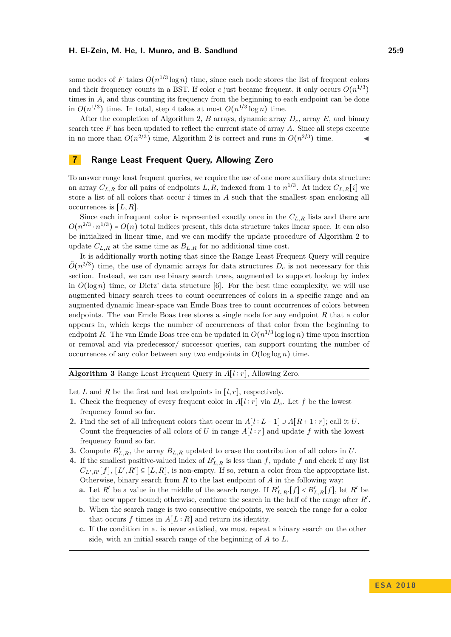#### **H. El-Zein, M. He, I. Munro, and B. Sandlund 25:9**

some nodes of F takes  $O(n^{1/3} \log n)$  time, since each node stores the list of frequent colors and their frequency counts in a BST. If color *c* just became frequent, it only occurs  $O(n^{1/3})$ times in A, and thus counting its frequency from the beginning to each endpoint can be done in  $O(n^{1/3})$  time. In total, step 4 takes at most  $O(n^{1/3} \log n)$  time.

After the completion of Algorithm [2,](#page-7-1) *B* arrays, dynamic array *Dc*, array *E*, and binary search tree *F* has been updated to reflect the current state of array *A*. Since all steps execute in no more than  $O(n^{2/3})$  time, Algorithm [2](#page-7-1) is correct and runs in  $O(n^{2/3})$  time.

## <span id="page-8-0"></span>**7 Range Least Frequent Query, Allowing Zero**

To answer range least frequent queries, we require the use of one more auxiliary data structure: an array  $C_{L,R}$  for all pairs of endpoints  $L, R$ , indexed from 1 to  $n^{1/3}$ . At index  $C_{L,R}[i]$  we store a list of all colors that occur *i* times in *A* such that the smallest span enclosing all occurrences is [*L, R*].

Since each infrequent color is represented exactly once in the *CL,R* lists and there are  $O(n^{2/3} \cdot n^{1/3}) = O(n)$  total indices present, this data structure takes linear space. It can also be initialized in linear time, and we can modify the update procedure of Algorithm [2](#page-7-1) to update  $C_{L,R}$  at the same time as  $B_{L,R}$  for no additional time cost.

It is additionally worth noting that since the Range Least Frequent Query will require  $\tilde{O}(n^{2/3})$  time, the use of dynamic arrays for data structures  $D_c$  is not necessary for this section. Instead, we can use binary search trees, augmented to support lookup by index in  $O(\log n)$  time, or Dietz' data structure [\[6\]](#page-12-13). For the best time complexity, we will use augmented binary search trees to count occurrences of colors in a specific range and an augmented dynamic linear-space van Emde Boas tree to count occurrences of colors between endpoints. The van Emde Boas tree stores a single node for any endpoint *R* that a color appears in, which keeps the number of occurrences of that color from the beginning to endpoint *R*. The van Emde Boas tree can be updated in  $O(n^{1/3} \log \log n)$  time upon insertion or removal and via predecessor/ successor queries, can support counting the number of occurrences of any color between any two endpoints in  $O(\log \log n)$  time.

<span id="page-8-1"></span>**Algorithm 3** Range Least Frequent Query in *A*[*l* ∶ *r*], Allowing Zero.

Let *L* and *R* be the first and last endpoints in  $[l, r]$ , respectively.

- **1.** Check the frequency of every frequent color in  $A[l : r]$  via  $D_c$ . Let f be the lowest frequency found so far.
- **2.** Find the set of all infrequent colors that occur in  $A[l : L-1] \cup A[R+1 : r]$ ; call it *U*. Count the frequencies of all colors of *U* in range  $A[l : r]$  and update f with the lowest frequency found so far.
- **3.** Compute  $B'_{L,R}$ , the array  $B_{L,R}$  updated to erase the contribution of all colors in *U*.
- **4.** If the smallest positive-valued index of  $B'_{L,R}$  is less than f, update f and check if any list  $C_{L',R'}[f], [L',R'] \subseteq [L,R],$  is non-empty. If so, return a color from the appropriate list. Otherwise, binary search from *R* to the last endpoint of *A* in the following way:
	- **a.** Let  $R'$  be a value in the middle of the search range. If  $B'_{L,R'}[f] < B'_{L,R}[f]$ , let  $R'$  be the new upper bound; otherwise, continue the search in the half of the range after R'.
	- **b.** When the search range is two consecutive endpoints, we search the range for a color that occurs  $f$  times in  $A[L:R]$  and return its identity.
	- **c.** If the condition in a. is never satisfied, we must repeat a binary search on the other side, with an initial search range of the beginning of *A* to *L*.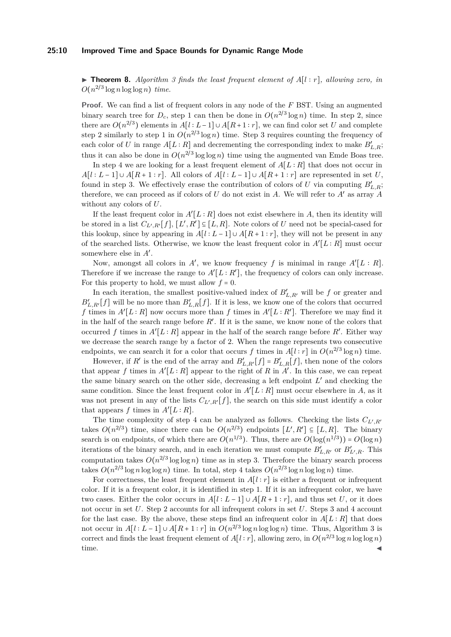#### **25:10 Improved Time and Space Bounds for Dynamic Range Mode**

I **Theorem 8.** *Algorithm [3](#page-8-1) finds the least frequent element of A*[*l* ∶ *r*]*, allowing zero, in*  $O(n^{2/3} \log n \log \log n)$  *time.* 

**Proof.** We can find a list of frequent colors in any node of the *F* BST. Using an augmented binary search tree for  $D_c$ , step 1 can then be done in  $O(n^{2/3} \log n)$  time. In step 2, since there are  $O(n^{2/3})$  elements in  $A[l:L-1] \cup A[R+1:r]$ , we can find color set *U* and complete step 2 similarly to step 1 in  $O(n^{2/3} \log n)$  time. Step 3 requires counting the frequency of each color of *U* in range  $A[L:R]$  and decrementing the corresponding index to make  $B'_{L,R}$ ; thus it can also be done in  $O(n^{2/3} \log \log n)$  time using the augmented van Emde Boas tree.

In step 4 we are looking for a least frequent element of  $A[L:R]$  that does not occur in  $A[l : L-1] \cup A[R+1 : r]$ . All colors of  $A[l : L-1] \cup A[R+1 : r]$  are represented in set *U*, found in step 3. We effectively erase the contribution of colors of *U* via computing  $B'_{L,R}$ ; therefore, we can proceed as if colors of  $U$  do not exist in  $A$ . We will refer to  $A'$  as array  $A$ without any colors of *U*.

If the least frequent color in  $A'[L:R]$  does not exist elsewhere in A, then its identity will be stored in a list  $C_{L',R'}[f], [L',R'] \subseteq [L,R]$ . Note colors of *U* need not be special-cased for this lookup, since by appearing in  $A[l : L-1] \cup A[R+1 : r]$ , they will not be present in any of the searched lists. Otherwise, we know the least frequent color in  $A'[L:R]$  must occur somewhere else in  $A'$ .

Now, amongst all colors in  $A'$ , we know frequency f is minimal in range  $A'[L:R]$ . Therefore if we increase the range to  $A'[L:R']$ , the frequency of colors can only increase. For this property to hold, we must allow  $f = 0$ .

In each iteration, the smallest positive-valued index of  $B'_{L,R'}$  will be *f* or greater and  $B'_{L,R'}[f]$  will be no more than  $B'_{L,R}[f]$ . If it is less, we know one of the colors that occurred *f* times in  $A'[L:R]$  now occurs more than *f* times in  $A'[L:R']$ . Therefore we may find it in the half of the search range before  $R'$ . If it is the same, we know none of the colors that occurred f times in  $A'[L:R]$  appear in the half of the search range before  $R'$ . Either way we decrease the search range by a factor of 2. When the range represents two consecutive endpoints, we can search it for a color that occurs *f* times in  $A[l:r]$  in  $O(n^{2/3} \log n)$  time.

However, if *R'* is the end of the array and  $B'_{L,R'}[f] = B'_{L,R}[f]$ , then none of the colors that appear *f* times in  $A'[L:R]$  appear to the right of R in  $A'$ . In this case, we can repeat the same binary search on the other side, decreasing a left endpoint  $L'$  and checking the same condition. Since the least frequent color in  $A'[L:R]$  must occur elsewhere in A, as it was not present in any of the lists  $C_{L',R'}[f]$ , the search on this side must identify a color that appears  $f$  times in  $A'[L:R]$ .

The time complexity of step 4 can be analyzed as follows. Checking the lists *CL*′ *,R*′ takes  $O(n^{2/3})$  time, since there can be  $O(n^{2/3})$  endpoints  $[L', R'] \subseteq [L, R]$ . The binary search is on endpoints, of which there are  $O(n^{1/3})$ . Thus, there are  $O(\log(n^{1/3})) = O(\log n)$ iterations of the binary search, and in each iteration we must compute  $B'_{L,R'}$  or  $B'_{L',R}$ . This computation takes  $O(n^{2/3} \log \log n)$  time as in step 3. Therefore the binary search process takes  $O(n^{2/3} \log n \log \log n)$  time. In total, step 4 takes  $O(n^{2/3} \log n \log \log n)$  time.

For correctness, the least frequent element in  $A[l : r]$  is either a frequent or infrequent color. If it is a frequent color, it is identified in step 1. If it is an infrequent color, we have two cases. Either the color occurs in  $A[l : L-1] \cup A[R+1 : r]$ , and thus set *U*, or it does not occur in set *U*. Step 2 accounts for all infrequent colors in set *U*. Steps 3 and 4 account for the last case. By the above, these steps find an infrequent color in  $A[L:R]$  that does not occur in  $A[l:L-1] \cup A[R+1:r]$  in  $O(n^{2/3}\log n \log \log n)$  time. Thus, Algorithm [3](#page-8-1) is correct and finds the least frequent element of  $A[l:r]$ , allowing zero, in  $O(n^{2/3} \log n \log \log n)$  $time.$   $\blacksquare$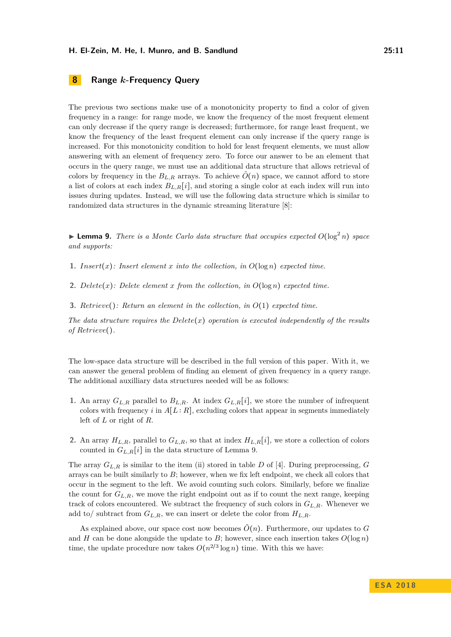# <span id="page-10-0"></span>**8 Range** *k***-Frequency Query**

The previous two sections make use of a monotonicity property to find a color of given frequency in a range: for range mode, we know the frequency of the most frequent element can only decrease if the query range is decreased; furthermore, for range least frequent, we know the frequency of the least frequent element can only increase if the query range is increased. For this monotonicity condition to hold for least frequent elements, we must allow answering with an element of frequency zero. To force our answer to be an element that occurs in the query range, we must use an additional data structure that allows retrieval of colors by frequency in the  $B_{L,R}$  arrays. To achieve  $O(n)$  space, we cannot afford to store a list of colors at each index  $B_{L,R}[i]$ , and storing a single color at each index will run into issues during updates. Instead, we will use the following data structure which is similar to randomized data structures in the dynamic streaming literature [\[8\]](#page-12-14):

<span id="page-10-1"></span>**Example 9.** There is a Monte Carlo data structure that occupies expected  $O(\log^2 n)$  space *and supports:*

**1.** *Insert*(*x*)*: Insert element x into the collection, in*  $O(\log n)$  *expected time.* 

- **2.**  $Delete(x)$ :  $Delete$   $element x$   $from$   $the$   $collection, in$   $O(log n)$   $expected$   $time$ .
- **3.** *Retrieve*()*: Return an element in the collection, in O*(1) *expected time.*

*The data structure requires the Delete* $(x)$  *operation is executed independently of the results of Retrieve*()*.*

The low-space data structure will be described in the full version of this paper. With it, we can answer the general problem of finding an element of given frequency in a query range. The additional auxilliary data structures needed will be as follows:

- **1.** An array  $G_{L,R}$  parallel to  $B_{L,R}$ . At index  $G_{L,R}[i]$ , we store the number of infrequent colors with frequency *i* in  $A[L:R]$ , excluding colors that appear in segments immediately left of *L* or right of *R*.
- **2.** An array  $H_{L,R}$ , parallel to  $G_{L,R}$ , so that at index  $H_{L,R}[i]$ , we store a collection of colors counted in  $G_{L,R}[i]$  in the data structure of Lemma [9.](#page-10-1)

The array *GL,R* is similar to the item (ii) stored in table *D* of [\[4\]](#page-12-8). During preprocessing, *G* arrays can be built similarly to *B*; however, when we fix left endpoint, we check all colors that occur in the segment to the left. We avoid counting such colors. Similarly, before we finalize the count for  $G_{L,R}$ , we move the right endpoint out as if to count the next range, keeping track of colors encountered. We subtract the frequency of such colors in *GL,R*. Whenever we add to/ subtract from  $G_{L,R}$ , we can insert or delete the color from  $H_{L,R}$ .

As explained above, our space cost now becomes  $\tilde{O}(n)$ . Furthermore, our updates to G and *H* can be done alongside the update to *B*; however, since each insertion takes  $O(\log n)$ time, the update procedure now takes  $O(n^{2/3} \log n)$  time. With this we have: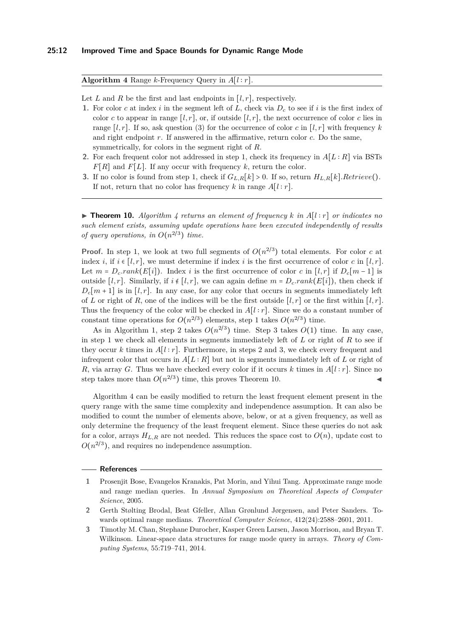<span id="page-11-3"></span>**Algorithm 4** Range *k*-Frequency Query in *A*[*l* ∶ *r*].

Let *L* and *R* be the first and last endpoints in  $[l, r]$ , respectively.

- **1.** For color *c* at index *i* in the segment left of *L*, check via *D<sup>c</sup>* to see if *i* is the first index of color *c* to appear in range  $[l, r]$ , or, if outside  $[l, r]$ , the next occurrence of color *c* lies in range  $[l, r]$ . If so, ask question [\(3\)](#page-5-1) for the occurrence of color *c* in  $[l, r]$  with frequency *k* and right endpoint *r*. If answered in the affirmative, return color *c*. Do the same, symmetrically, for colors in the segment right of *R*.
- **2.** For each frequent color not addressed in step 1, check its frequency in *A*[*L* ∶ *R*] via BSTs *F*[*R*] and *F*[*L*]. If any occur with frequency *k*, return the color.
- **3.** If no color is found from step 1, check if  $G_{L,R}[k] > 0$ . If so, return  $H_{L,R}[k]$ *.Retrieve*(). If not, return that no color has frequency  $k$  in range  $A[l:r]$ .

<span id="page-11-4"></span>▶ **Theorem 10.** *Algorithm*  $4$  *returns an element of frequency*  $k$  *in*  $A[l:r]$  *or indicates no such element exists, assuming update operations have been executed independently of results of query operations, in*  $O(n^{2/3})$  *time.* 

**Proof.** In step 1, we look at two full segments of  $O(n^{2/3})$  total elements. For color *c* at index *i*, if  $i \in [l, r]$ , we must determine if index *i* is the first occurrence of color *c* in [*l, r*]. Let  $m = D_c$ *rank*( $E[i]$ ). Index *i* is the first occurrence of color *c* in [*l, r*] if  $D_c[m-1]$  is outside  $[l, r]$ . Similarly, if  $i \notin [l, r]$ , we can again define  $m = D_c$ *rank*( $E[i]$ ), then check if  $D_c[m+1]$  is in [*l, r*]. In any case, for any color that occurs in segments immediately left of *L* or right of *R*, one of the indices will be the first outside  $[l, r]$  or the first within  $[l, r]$ . Thus the frequency of the color will be checked in  $A[l : r]$ . Since we do a constant number of constant time operations for  $O(n^{2/3})$  elements, step 1 takes  $O(n^{2/3})$  time.

As in Algorithm [1,](#page-6-1) step 2 takes  $O(n^{2/3})$  time. Step 3 takes  $O(1)$  time. In any case, in step 1 we check all elements in segments immediately left of *L* or right of *R* to see if they occur k times in  $A[l : r]$ . Furthermore, in steps 2 and 3, we check every frequent and infrequent color that occurs in  $A[L:R]$  but not in segments immediately left of *L* or right of *R*, via array *G*. Thus we have checked every color if it occurs *k* times in  $A[l:r]$ . Since no step takes more than  $O(n^{2/3})$  time, this proves Theorem [10.](#page-11-4)

Algorithm [4](#page-11-3) can be easily modified to return the least frequent element present in the query range with the same time complexity and independence assumption. It can also be modified to count the number of elements above, below, or at a given frequency, as well as only determine the frequency of the least frequent element. Since these queries do not ask for a color, arrays  $H_{L,R}$  are not needed. This reduces the space cost to  $O(n)$ , update cost to  $O(n^{2/3})$ , and requires no independence assumption.

#### **References**

- <span id="page-11-2"></span>**1** Prosenjit Bose, Evangelos Kranakis, Pat Morin, and Yihui Tang. Approximate range mode and range median queries. In *Annual Symposium on Theoretical Aspects of Computer Science*, 2005.
- <span id="page-11-1"></span>**2** Gerth Stølting Brodal, Beat Gfeller, Allan Grønlund Jørgensen, and Peter Sanders. Towards optimal range medians. *Theoretical Computer Science*, 412(24):2588–2601, 2011.
- <span id="page-11-0"></span>**3** Timothy M. Chan, Stephane Durocher, Kasper Green Larsen, Jason Morrison, and Bryan T. Wilkinson. Linear-space data structures for range mode query in arrays. *Theory of Computing Systems*, 55:719–741, 2014.